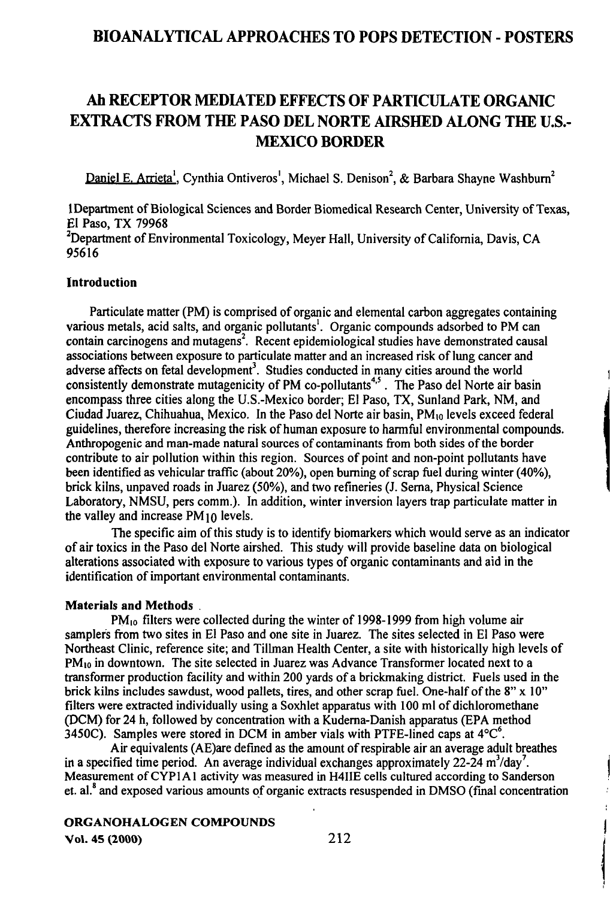# Ah RECEPTOR MEDIATED EFFECTS OF PARTICULATE ORGANIC EXTRACTS FROM THE PASO DEL NORTE AIRSHED ALONG THE U.S.- MEXICO BORDER

Daniel E. Arrieta<sup>1</sup>, Cynthia Ontiveros<sup>1</sup>, Michael S. Denison<sup>2</sup>, & Barbara Shayne Washbum<sup>2</sup>

1 Department of Biological Sciences and Border Biomedical Research Center, University of Texas, El Paso, TX 79968 <sup>2</sup>Department of Environmental Toxicology, Meyer Hall, University of California, Davis, CA 95616

#### Introduction

Particulate matter (PM) is comprised of organic and elemental carbon aggregates containing various metals, acid salts, and organic pollutants'. Organic compounds adsorbed to PM can contain carcinogens and mutagens<sup>2</sup>. Recent epidemiological studies have demonstrated causal associations between exposure to particulate matter and an increased risk of lung cancer and adverse affects on fetal development<sup>3</sup>. Studies conducted in many cities around the world consistently demonstrate mutagenicity of PM co-pollutants<sup>4,5</sup>. The Paso del Norte air basin encompass three cities along the U.S.-Mexico border; El Paso, TX, Sunland Park, NM, and Ciudad Juarez, Chihuahua, Mexico. In the Paso del Norte air basin, PMio levels exceed federal guidelines, therefore increasing the risk of human exposure to harmful environmental compounds. Anthropogenic and man-made natural sources of contaminants from both sides of the border contribute to air pollution within this region. Sources of point and non-point pollutants have been identified as vehicular traffic (about 20%), open buming of scrap fuel during winter (40%), brick kilns, unpaved roads in Juarez (50%), and two refineries (J. Sema, Physical Science Laboratory, NMSU, pers comm.). In addition, winter inversion layers frap particulate matter in the valley and increase  $PM_{10}$  levels.

The specific aim of this study is to identify biomarkers which would serve as an indicator of air toxics in the Paso del Norte airshed. This study will provide baseline data on biological alterations associated with exposure to various types of organic contaminants and aid in the identification of important environmental contaminants.

#### Materials and Methods .

PM<sub>10</sub> filters were collected during the winter of 1998-1999 from high volume air samplers from two sites in El Paso and one site in Juarez. The sites selected in El Paso were Northeast Clinic, reference site; and Tillman Health Center, a site with historically high levels of PM<sub>10</sub> in downtown. The site selected in Juarez was Advance Transformer located next to a transformer production facility and within 200 yards of a brickmaking district. Fuels used in the brick kilns includes sawdust, wood pallets, tires, and other scrap fuel. One-half of the  $8" \times 10"$ filters were extracted individually using a Soxhlet apparatus with 100 ml of dichloromethane (DCM) for 24 h, followed by concentration with a Kudema-Danish apparatus (EPA method 3450C). Samples were stored in DCM in amber vials with PTFE-lined caps at  $4^{\circ}C^6$ .

Afr equivalents (AE)are defmed as the amount of respirable air an average adult breathes in a specified time period. An average individual exchanges approximately  $22\text{-}24 \text{ m}^3/\text{day}^7$ . Measurement of CYPI A1 activity was measured in H41IE cells cultured according to Sanderson et. al.<sup>8</sup> and exposed various amounts of organic extracts resuspended in DMSO (final concentration

### ORGANOHALOGEN COMPOUNDS

Vol. 45(2000) 212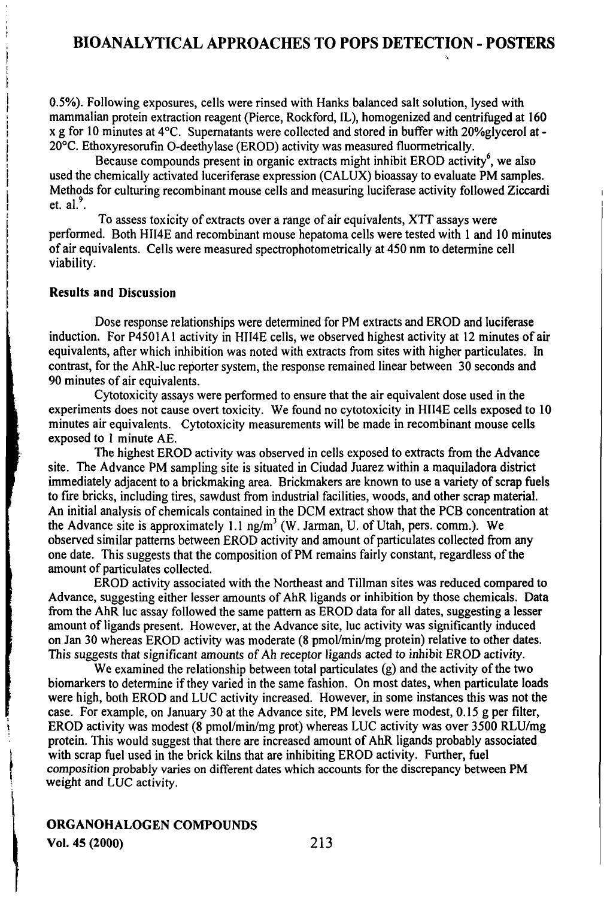0.5%). Following exposures, cells were rinsed with Hanks balanced salt solution, lysed with mammalian protein extraction reagent (Pierce, Rockford, IL), homogenized and centrifuged at 160  $x$  g for 10 minutes at  $4^{\circ}$ C. Supernatants were collected and stored in buffer with 20% glycerol at -20°C. Ethoxyresomfin O-deethylase (EROD) activity was measured fluormetrically.

Because compounds present in organic extracts might inhibit EROD activity<sup>6</sup>, we also used the chemically activated luceriferase expression (CALUX) bioassay to evaluate PM samples. Methods for culturing recombinant mouse cells and measuring luciferase activity followed Ziccardi et.  $al.$ <sup>9</sup>.

To assess toxicity of exfracts over a range of air equivalents, XTT assays were performed. Both HII4E and recombmant mouse hepatoma cells were tested with 1 and 10 minutes of air equivalents. Cells were measured specfrophotomefrically at 450 nm to determine cell viability.

## Results and Discussion

Dose response relationships were determined for PM extracts and EROD and luciferase induction. For P4501A1 activity in HII4E cells, we observed highest activity at 12 minutes of air equivalents, after which inhibition was noted with exfracts from sites with higher particulates. In contrast, for the AhR-luc reporter system, the response remained linear between 30 seconds and 90 minutes of air equivalents.

Cytotoxicity assays were performed to ensure that the air equivalent dose used in the experiments does not cause overt toxicity. We found no cytotoxicity in HII4E cells exposed to 10 minutes air equivalents. Cytotoxicity measurements will be made in recombinant mouse cells exposed to 1 minute AE.

The highest EROD activity was observed in cells exposed to extracts from the Advance site. The Advance PM sampling site is situated in Ciudad Juarez within a maquiladora disfrict immediately adjacent to a brickmaking area. Brickmakers are known to use a variety of scrap fuels to fire bricks, including tires, sawdust from industrial facilities, woods, and other scrap material. An initial analysis of chemicals contained in the DCM extract show that the PCB concentration at the Advance site is approximately 1.1  $\text{ng/m}^3$  (W. Jarman, U. of Utah, pers. comm.). We observed similar pattems between EROD activity and amount of particulates collected from any one date. This suggests that the composition of PM remains fairly constant, regardless ofthe amount of particulates collected.

EROD activity associated with the Northeast and Tillman sites was reduced compared to Advance, suggestmg either lesser amounts of AhR ligands or inhibition by those chemicals. Data from the AhR luc assay followed the same pattem as EROD data for all dates, suggesting a lesser amount of ligands present. However, at the Advance site, luc activity was significantly induced on Jan 30 whereas EROD activity was moderate (8 pmol/min/mg protein) relative to other dates. This suggests that significant amounts of Ah receptor ligands acted to inhibit EROD activity.

We examined the relationship between total particulates  $(g)$  and the activity of the two biomarkers to determine if they varied in the same fashion. On most dates, when particulate loads were high, both EROD and LUC activity increased. However, in some instances this was not the case. For example, on January 30 at the Advance site, PM levels were modest, 0.15 g per filter, EROD activity was modest (8 pmol/min/mg prot) whereas LUC activity was over 3500 RLU/mg protein. This would suggest that there are increased amount of AhR ligands probably associated with scrap fuel used in the brick kilns that are inhibiting EROD activity. Further, fuel composition probably varies on different dates which accounts for the discrepancy between PM weight and LUC activity.

#### ORGANOHALOGEN COMPOUNDS Vol. 45(2000) 213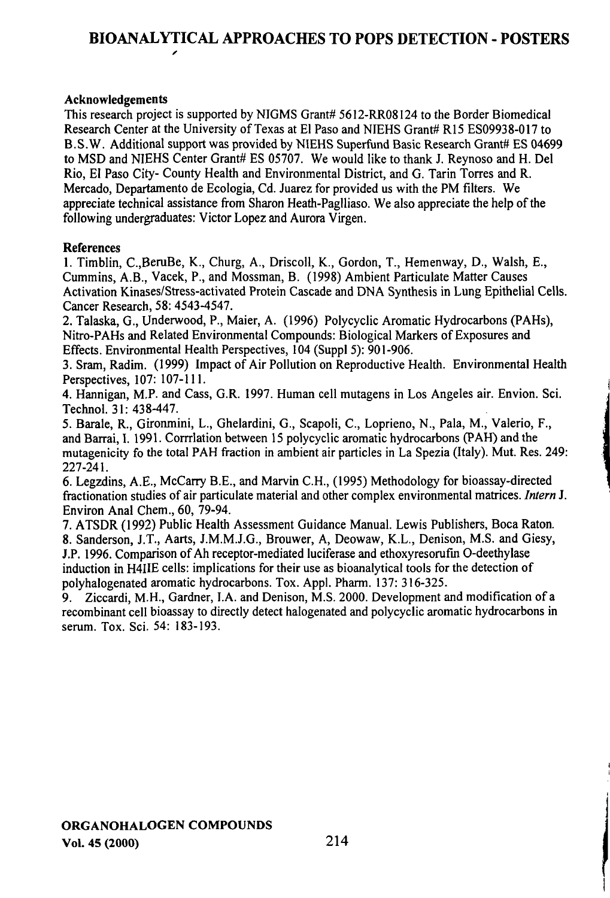#### Acknowledgements

This research project is supported by NIGMS Grant# 5612-RR08124 to the Border Biomedical Research Center at the University of Texas at El Paso and NIEHS Grant# R15 ES09938-017 to B.S.W. Additional support was provided by NIEHS Superfimd Basic Research Grant# ES 04699 to MSD and NIEHS Center Grant# ES 05707. We would like to thank J. Reynoso and H. Del Rio, El Paso City- County Health and Environmental District, and G. Tarin Torres and R. Mercado, Departamento de Ecologia, Cd. Juarez for provided us with the PM filters. We appreciate technical assistance from Sharon Heath-Paglliaso. We also appreciate the help of the following undergraduates: Victor Lopez and Aurora Virgen.

#### References

1. Timblin, C.,BeruBe, K., Churg, A., Driscoll, K., Gordon, T., Hemenway, D., Walsh, E., Cummins, A.B., Vacek, P., and Mossman, B. (1998) Ambient Particulate Matter Causes Activation Kinases/Sfress-activated Protein Cascade and DNA Synthesis in Lung Epithelial Cells. Cancer Research, 58: 4543-4547.

2. Talaska, G., Underwood, P., Maier, A. (1996) Polycyclic Aromatic Hydrocarbons (PAHs), Nifro-PAHs and Related Environmental Compounds: Biological Markers of Exposures and Effects. Environmental Health Perspectives, 104 (Suppl 5): 901-906.

3. Sram, Radim. (1999) Impact of Air Pollution on Reproductive Health. Environmental Health Perspectives, 107: 107-111.

4. Hannigan, M.P. and Cass, G.R. 1997. Human cell mutagens in Los Angeles air. Envion. Sci. TechnoL 31: 438-447.

5. Barale, R., Gfronmini, L., Ghelardini, G., Scapoli, C, Loprieno, N., Paia, M., Valerio, F., and Barrai, I. 1991. Corrrilation between 15 polycyclic aromatic hydrocarbons (PAH) and the mutagenicity fo the total PAH fraction in ambient air particles in La Spezia (Italy). Mut. Res. 249: 227-241.

6. Legzdins, A.E., McCarry B.E., and Marvin C.H., (1995) Methodology for bioassay-directed fractionation studies of air particulate material and other complex environmental matrices. Intern J. Environ Anal Chem., 60, 79-94.

7. ATSDR (1992) Public Health Assessment Guidance Manual. Lewis Publishers, Boca Raton. 8. Sanderson, J.T., Aarts, J.M.M.J.G., Brouwer, A, Deowaw, K.L., Denison, M.S. and Giesy, J.P. 1996. Comparison of Ah receptor-mediated luciferase and ethoxyresorufin O-deethylase induction in H4IIE cells: implications for their use as bioanalytical tools for the detection of polyhalogenated aromatic hydrocarbons. Tox. Appl. Pharm. 137: 316-325.

9. Ziccardi, M.H., Gardner, I.A. and Denison, M.S. 2000. Development and modification of a recombinant cell bioassay to directly detect halogenated and polycyclic aromatic hydrocarbons in semm. Tox. Sci. 54: 183-193.